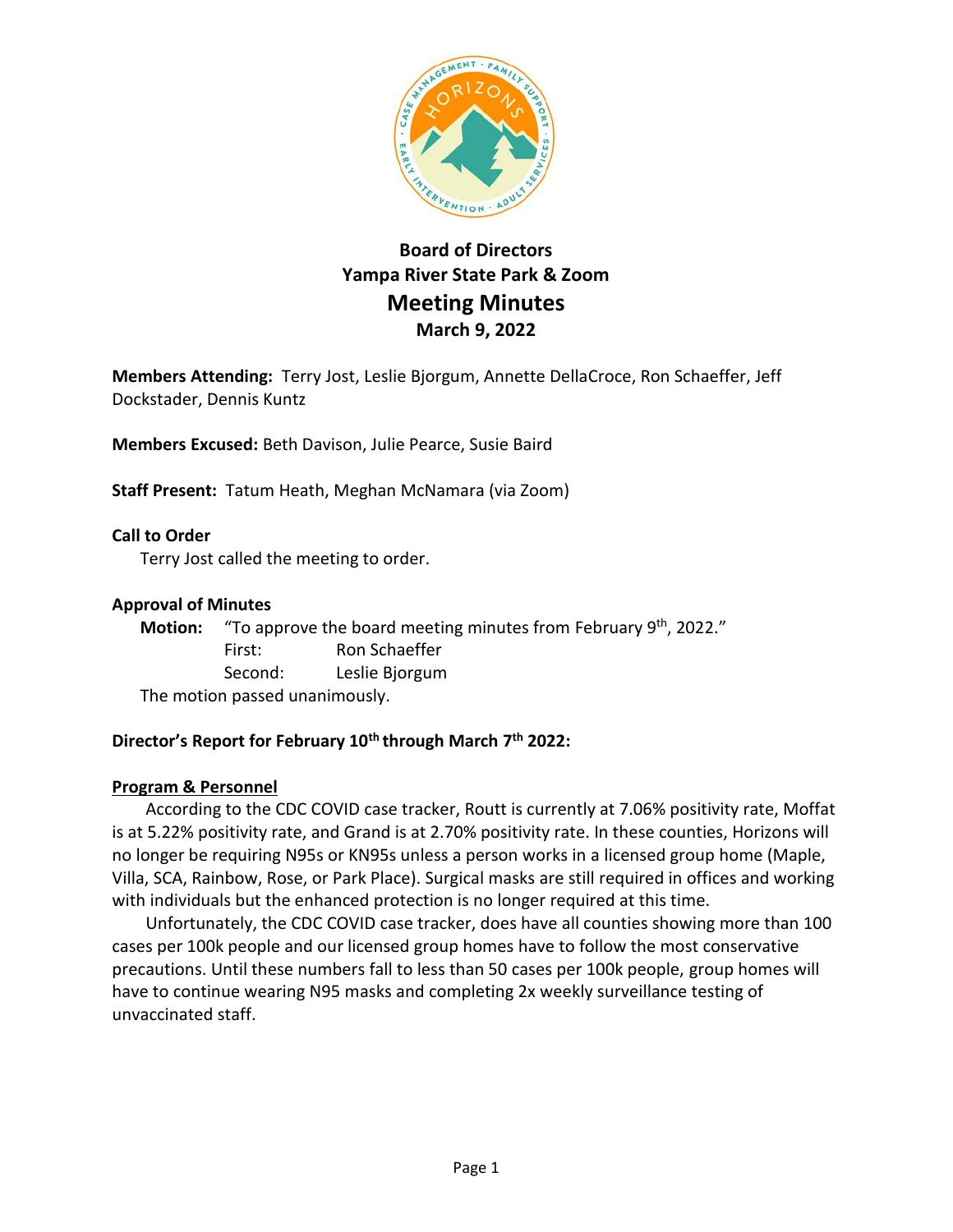

# **Board of Directors Yampa River State Park & Zoom Meeting Minutes March 9, 2022**

**Members Attending:** Terry Jost, Leslie Bjorgum, Annette DellaCroce, Ron Schaeffer, Jeff Dockstader, Dennis Kuntz

**Members Excused:** Beth Davison, Julie Pearce, Susie Baird

**Staff Present:** Tatum Heath, Meghan McNamara (via Zoom)

**Call to Order**

Terry Jost called the meeting to order.

#### **Approval of Minutes**

Motion: "To approve the board meeting minutes from February 9<sup>th</sup>, 2022." First: Ron Schaeffer Second: Leslie Bjorgum The motion passed unanimously.

# **Director's Report for February 10th through March 7 th 2022:**

#### **Program & Personnel**

According to the CDC COVID case tracker, Routt is currently at 7.06% positivity rate, Moffat is at 5.22% positivity rate, and Grand is at 2.70% positivity rate. In these counties, Horizons will no longer be requiring N95s or KN95s unless a person works in a licensed group home (Maple, Villa, SCA, Rainbow, Rose, or Park Place). Surgical masks are still required in offices and working with individuals but the enhanced protection is no longer required at this time.

Unfortunately, the CDC COVID case tracker, does have all counties showing more than 100 cases per 100k people and our licensed group homes have to follow the most conservative precautions. Until these numbers fall to less than 50 cases per 100k people, group homes will have to continue wearing N95 masks and completing 2x weekly surveillance testing of unvaccinated staff.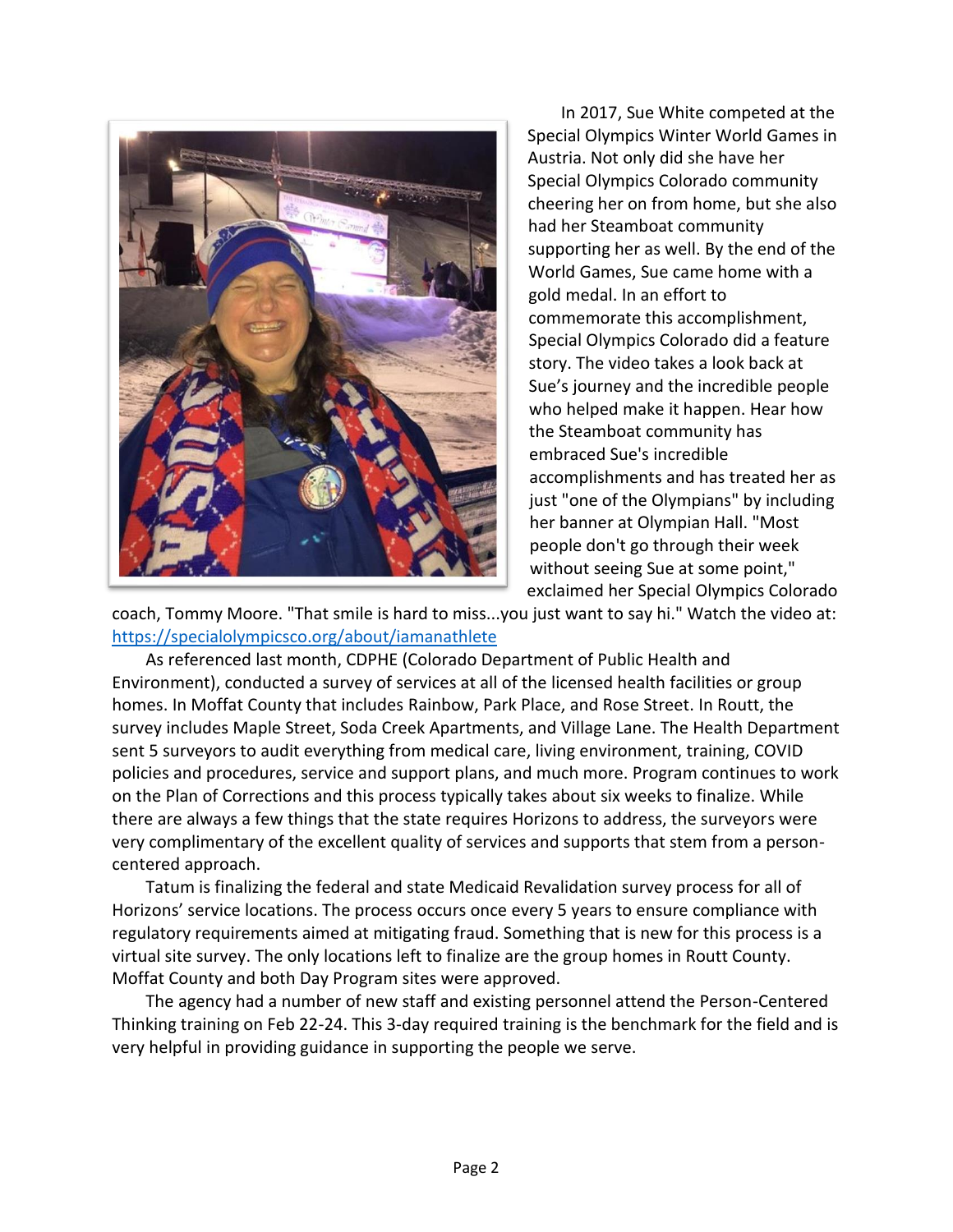

In 2017, Sue White competed at the Special Olympics Winter World Games in Austria. Not only did she have her Special Olympics Colorado community cheering her on from home, but she also had her Steamboat community supporting her as well. By the end of the World Games, Sue came home with a gold medal. In an effort to commemorate this accomplishment, Special Olympics Colorado did a feature story. The video takes a look back at Sue's journey and the incredible people who helped make it happen. Hear how the Steamboat community has embraced Sue's incredible accomplishments and has treated her as just "one of the Olympians" by including her banner at Olympian Hall. "Most people don't go through their week without seeing Sue at some point," exclaimed her Special Olympics Colorado

coach, Tommy Moore. "That smile is hard to miss...you just want to say hi." Watch the video at: <https://specialolympicsco.org/about/iamanathlete>

As referenced last month, CDPHE (Colorado Department of Public Health and Environment), conducted a survey of services at all of the licensed health facilities or group homes. In Moffat County that includes Rainbow, Park Place, and Rose Street. In Routt, the survey includes Maple Street, Soda Creek Apartments, and Village Lane. The Health Department sent 5 surveyors to audit everything from medical care, living environment, training, COVID policies and procedures, service and support plans, and much more. Program continues to work on the Plan of Corrections and this process typically takes about six weeks to finalize. While there are always a few things that the state requires Horizons to address, the surveyors were very complimentary of the excellent quality of services and supports that stem from a personcentered approach.

Tatum is finalizing the federal and state Medicaid Revalidation survey process for all of Horizons' service locations. The process occurs once every 5 years to ensure compliance with regulatory requirements aimed at mitigating fraud. Something that is new for this process is a virtual site survey. The only locations left to finalize are the group homes in Routt County. Moffat County and both Day Program sites were approved.

The agency had a number of new staff and existing personnel attend the Person-Centered Thinking training on Feb 22-24. This 3-day required training is the benchmark for the field and is very helpful in providing guidance in supporting the people we serve.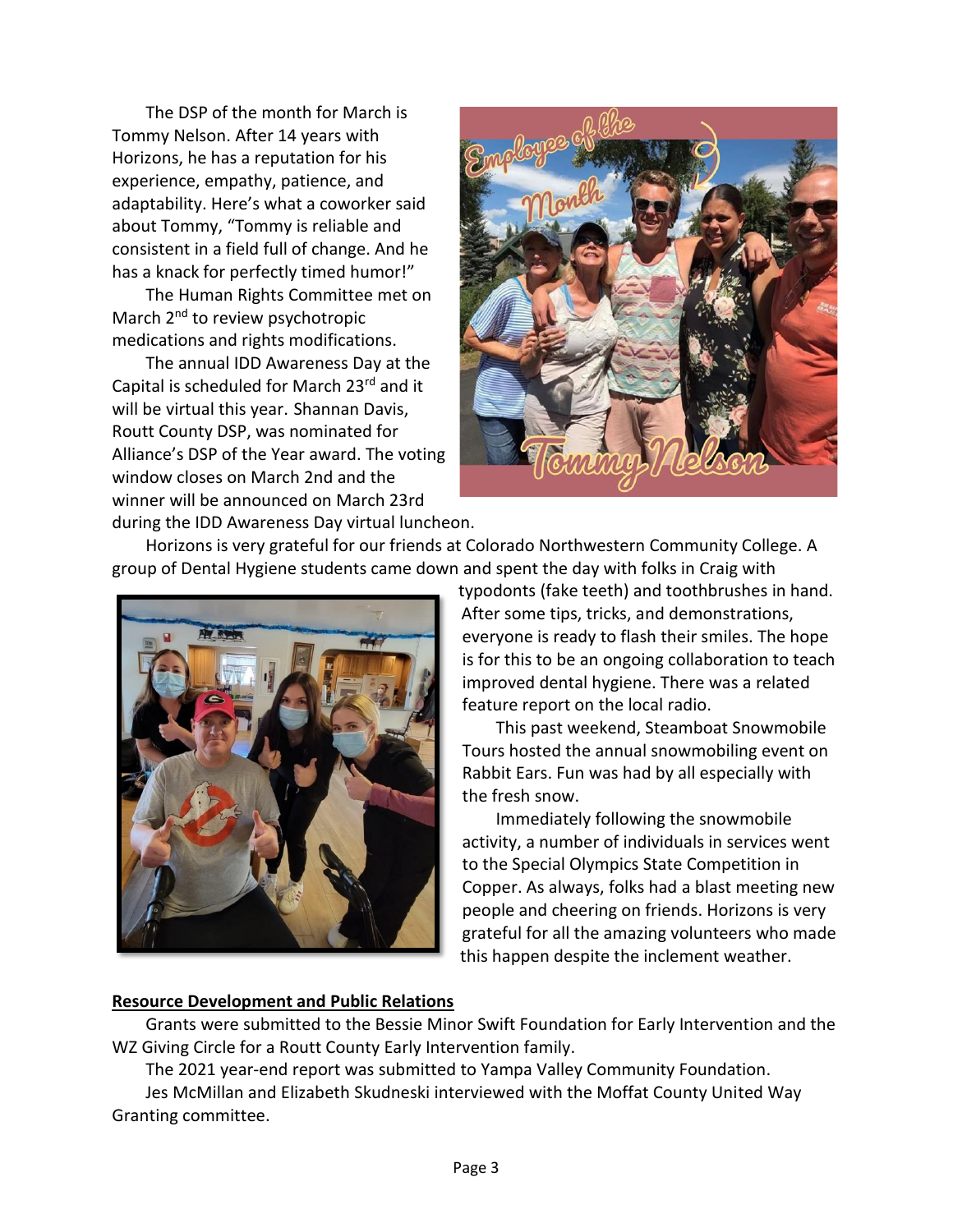The DSP of the month for March is Tommy Nelson. After 14 years with Horizons, he has a reputation for his experience, empathy, patience, and adaptability. Here's what a coworker said about Tommy, "Tommy is reliable and consistent in a field full of change. And he has a knack for perfectly timed humor!"

The Human Rights Committee met on March 2<sup>nd</sup> to review psychotropic medications and rights modifications.

The annual IDD Awareness Day at the Capital is scheduled for March 23rd and it will be virtual this year. Shannan Davis, Routt County DSP, was nominated for Alliance's DSP of the Year award. The voting window closes on March 2nd and the winner will be announced on March 23rd during the IDD Awareness Day virtual luncheon.



Horizons is very grateful for our friends at Colorado Northwestern Community College. A group of Dental Hygiene students came down and spent the day with folks in Craig with



typodonts (fake teeth) and toothbrushes in hand. After some tips, tricks, and demonstrations, everyone is ready to flash their smiles. The hope is for this to be an ongoing collaboration to teach improved dental hygiene. There was a related feature report on the local radio.

This past weekend, Steamboat Snowmobile Tours hosted the annual snowmobiling event on Rabbit Ears. Fun was had by all especially with the fresh snow.

Immediately following the snowmobile activity, a number of individuals in services went to the Special Olympics State Competition in Copper. As always, folks had a blast meeting new people and cheering on friends. Horizons is very grateful for all the amazing volunteers who made this happen despite the inclement weather.

#### **Resource Development and Public Relations**

Grants were submitted to the Bessie Minor Swift Foundation for Early Intervention and the WZ Giving Circle for a Routt County Early Intervention family.

The 2021 year-end report was submitted to Yampa Valley Community Foundation.

Jes McMillan and Elizabeth Skudneski interviewed with the Moffat County United Way Granting committee.